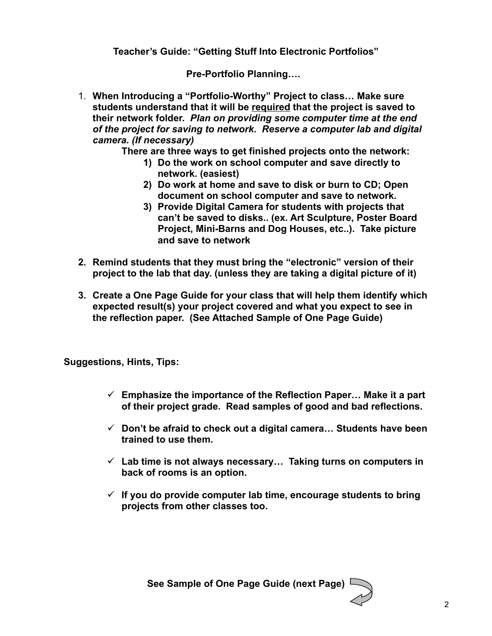**Teacher's Guide: "Getting Stuff Into Electronic Portfolios"**

**Pre-Portfolio Planning….** 

1. **When Introducing a "Portfolio-Worthy" Project to class… Make sure students understand that it will be required that the project is saved to their network folder.** *Plan on providing some computer time at the end of the project for saving to network. Reserve a computer lab and digital camera. (If necessary)*

**There are three ways to get finished projects onto the network:** 

- **1) Do the work on school computer and save directly to network. (easiest)**
- **2) Do work at home and save to disk or burn to CD; Open document on school computer and save to network.**
- **3) Provide Digital Camera for students with projects that can't be saved to disks.. (ex. Art Sculpture, Poster Board Project, Mini-Barns and Dog Houses, etc..). Take picture and save to network**
- **2. Remind students that they must bring the "electronic" version of their project to the lab that day. (unless they are taking a digital picture of it)**
- **3. Create a One Page Guide for your class that will help them identify which expected result(s) your project covered and what you expect to see in the reflection paper. (See Attached Sample of One Page Guide)**

**Suggestions, Hints, Tips:** 

- **Emphasize the importance of the Reflection Paper… Make it a part of their project grade. Read samples of good and bad reflections.**
- **Don't be afraid to check out a digital camera… Students have been trained to use them.**
- **Lab time is not always necessary… Taking turns on computers in back of rooms is an option.**
- **If you do provide computer lab time, encourage students to bring projects from other classes too.**